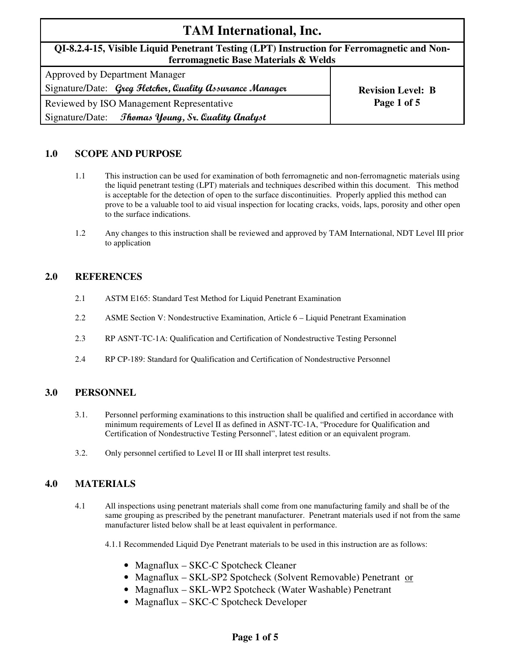# **TAM International, Inc.**

# **QI-8.2.4-15, Visible Liquid Penetrant Testing (LPT) Instruction for Ferromagnetic and Nonferromagnetic Base Materials & Welds**

| <b>Approved by Department Manager</b>                    |                          |  |  |  |
|----------------------------------------------------------|--------------------------|--|--|--|
| Signature/Date: Greg Fletcher, Quality Assurance Manager | <b>Revision Level: B</b> |  |  |  |
| Reviewed by ISO Management Representative                | Page 1 of 5              |  |  |  |
| Thomas Young, Sr. Quality Analyst<br>Signature/Date:     |                          |  |  |  |

## **1.0 SCOPE AND PURPOSE**

- 1.1 This instruction can be used for examination of both ferromagnetic and non-ferromagnetic materials using the liquid penetrant testing (LPT) materials and techniques described within this document. This method is acceptable for the detection of open to the surface discontinuities. Properly applied this method can prove to be a valuable tool to aid visual inspection for locating cracks, voids, laps, porosity and other open to the surface indications.
- 1.2 Any changes to this instruction shall be reviewed and approved by TAM International, NDT Level III prior to application

### **2.0 REFERENCES**

- 2.1 ASTM E165: Standard Test Method for Liquid Penetrant Examination
- 2.2 ASME Section V: Nondestructive Examination, Article 6 Liquid Penetrant Examination
- 2.3 RP ASNT-TC-1A: Qualification and Certification of Nondestructive Testing Personnel
- 2.4 RP CP-189: Standard for Qualification and Certification of Nondestructive Personnel

### **3.0 PERSONNEL**

- 3.1. Personnel performing examinations to this instruction shall be qualified and certified in accordance with minimum requirements of Level II as defined in ASNT-TC-1A, "Procedure for Qualification and Certification of Nondestructive Testing Personnel", latest edition or an equivalent program.
- 3.2. Only personnel certified to Level II or III shall interpret test results.

### **4.0 MATERIALS**

4.1 All inspections using penetrant materials shall come from one manufacturing family and shall be of the same grouping as prescribed by the penetrant manufacturer. Penetrant materials used if not from the same manufacturer listed below shall be at least equivalent in performance.

4.1.1 Recommended Liquid Dye Penetrant materials to be used in this instruction are as follows:

- Magnaflux SKC-C Spotcheck Cleaner
- Magnaflux SKL-SP2 Spotcheck (Solvent Removable) Penetrant or
- Magnaflux SKL-WP2 Spotcheck (Water Washable) Penetrant
- Magnaflux SKC-C Spotcheck Developer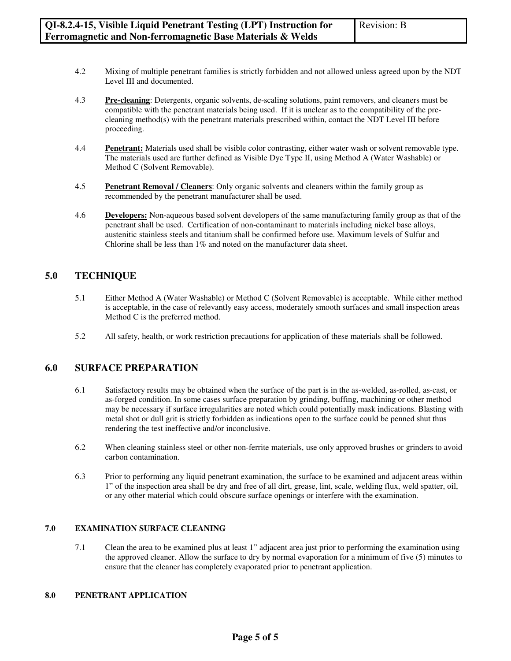- 4.2 Mixing of multiple penetrant families is strictly forbidden and not allowed unless agreed upon by the NDT Level III and documented.
- 4.3 **Pre-cleaning**: Detergents, organic solvents, de-scaling solutions, paint removers, and cleaners must be compatible with the penetrant materials being used. If it is unclear as to the compatibility of the precleaning method(s) with the penetrant materials prescribed within, contact the NDT Level III before proceeding.
- 4.4 **Penetrant:** Materials used shall be visible color contrasting, either water wash or solvent removable type. The materials used are further defined as Visible Dye Type II, using Method A (Water Washable) or Method C (Solvent Removable).
- 4.5 **Penetrant Removal / Cleaners**: Only organic solvents and cleaners within the family group as recommended by the penetrant manufacturer shall be used.
- 4.6 **Developers:** Non-aqueous based solvent developers of the same manufacturing family group as that of the penetrant shall be used. Certification of non-contaminant to materials including nickel base alloys, austenitic stainless steels and titanium shall be confirmed before use. Maximum levels of Sulfur and Chlorine shall be less than 1% and noted on the manufacturer data sheet.

# **5.0 TECHNIQUE**

- 5.1Either Method A (Water Washable) or Method C (Solvent Removable) is acceptable. While either method is acceptable, in the case of relevantly easy access, moderately smooth surfaces and small inspection areas Method C is the preferred method.
- 5.2 All safety, health, or work restriction precautions for application of these materials shall be followed.

### **6.0 SURFACE PREPARATION**

- 6.1 Satisfactory results may be obtained when the surface of the part is in the as-welded, as-rolled, as-cast, or as-forged condition. In some cases surface preparation by grinding, buffing, machining or other method may be necessary if surface irregularities are noted which could potentially mask indications. Blasting with metal shot or dull grit is strictly forbidden as indications open to the surface could be penned shut thus rendering the test ineffective and/or inconclusive.
- 6.2 When cleaning stainless steel or other non-ferrite materials, use only approved brushes or grinders to avoid carbon contamination.
- 6.3 Prior to performing any liquid penetrant examination, the surface to be examined and adjacent areas within 1" of the inspection area shall be dry and free of all dirt, grease, lint, scale, welding flux, weld spatter, oil, or any other material which could obscure surface openings or interfere with the examination.

### **7.0 EXAMINATION SURFACE CLEANING**

7.1 Clean the area to be examined plus at least 1" adjacent area just prior to performing the examination using the approved cleaner. Allow the surface to dry by normal evaporation for a minimum of five (5) minutes to ensure that the cleaner has completely evaporated prior to penetrant application.

#### **8.0 PENETRANT APPLICATION**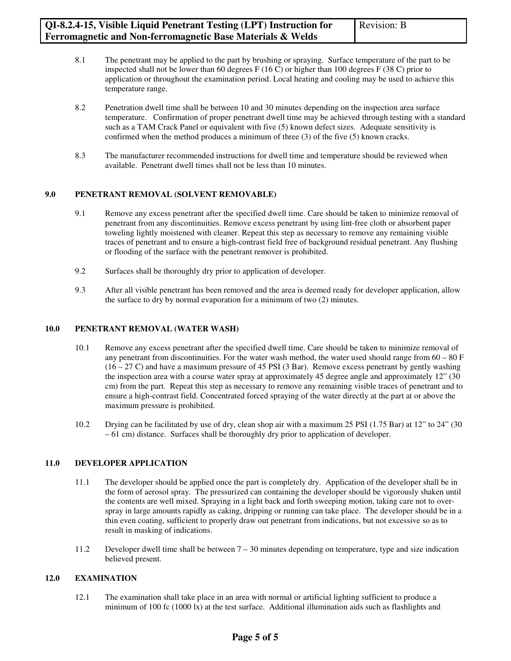- 8.1 The penetrant may be applied to the part by brushing or spraying. Surface temperature of the part to be inspected shall not be lower than 60 degrees  $F(16 C)$  or higher than 100 degrees  $F(38 C)$  prior to application or throughout the examination period. Local heating and cooling may be used to achieve this temperature range.
- 8.2 Penetration dwell time shall be between 10 and 30 minutes depending on the inspection area surface temperature. Confirmation of proper penetrant dwell time may be achieved through testing with a standard such as a TAM Crack Panel or equivalent with five (5) known defect sizes. Adequate sensitivity is confirmed when the method produces a minimum of three (3) of the five (5) known cracks.
- 8.3 The manufacturer recommended instructions for dwell time and temperature should be reviewed when available. Penetrant dwell times shall not be less than 10 minutes.

### **9.0 PENETRANT REMOVAL (SOLVENT REMOVABLE)**

- 9.1 Remove any excess penetrant after the specified dwell time. Care should be taken to minimize removal of penetrant from any discontinuities. Remove excess penetrant by using lint-free cloth or absorbent paper toweling lightly moistened with cleaner. Repeat this step as necessary to remove any remaining visible traces of penetrant and to ensure a high-contrast field free of background residual penetrant. Any flushing or flooding of the surface with the penetrant remover is prohibited.
- 9.2 Surfaces shall be thoroughly dry prior to application of developer.
- 9.3 After all visible penetrant has been removed and the area is deemed ready for developer application, allow the surface to dry by normal evaporation for a minimum of two (2) minutes.

### **10.0 PENETRANT REMOVAL (WATER WASH)**

- 10.1 Remove any excess penetrant after the specified dwell time. Care should be taken to minimize removal of any penetrant from discontinuities. For the water wash method, the water used should range from  $60 - 80$  F  $(16 - 27 C)$  and have a maximum pressure of 45 PSI (3 Bar). Remove excess penetrant by gently washing the inspection area with a course water spray at approximately 45 degree angle and approximately 12" (30 cm) from the part. Repeat this step as necessary to remove any remaining visible traces of penetrant and to ensure a high-contrast field. Concentrated forced spraying of the water directly at the part at or above the maximum pressure is prohibited.
- 10.2 Drying can be facilitated by use of dry, clean shop air with a maximum 25 PSI (1.75 Bar) at 12" to 24" (30 – 61 cm) distance. Surfaces shall be thoroughly dry prior to application of developer.

# **11.0 DEVELOPER APPLICATION**

- 11.1 The developer should be applied once the part is completely dry. Application of the developer shall be in the form of aerosol spray. The pressurized can containing the developer should be vigorously shaken until the contents are well mixed. Spraying in a light back and forth sweeping motion, taking care not to overspray in large amounts rapidly as caking, dripping or running can take place. The developer should be in a thin even coating, sufficient to properly draw out penetrant from indications, but not excessive so as to result in masking of indications.
- 11.2 Developer dwell time shall be between 7 30 minutes depending on temperature, type and size indication believed present.

# **12.0 EXAMINATION**

12.1 The examination shall take place in an area with normal or artificial lighting sufficient to produce a minimum of 100 fc (1000 lx) at the test surface. Additional illumination aids such as flashlights and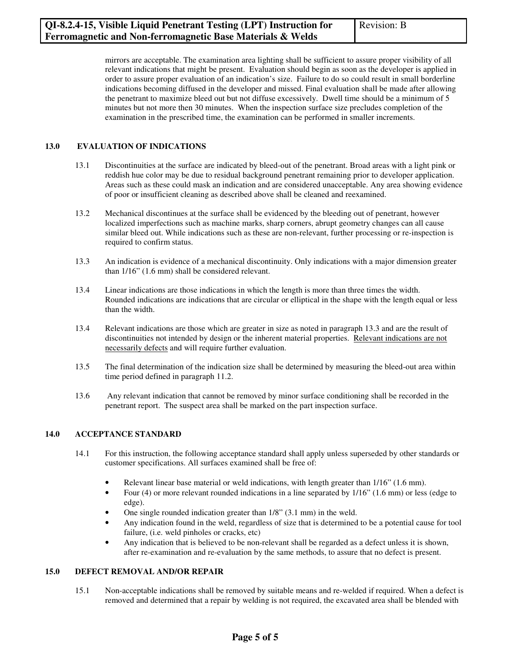mirrors are acceptable. The examination area lighting shall be sufficient to assure proper visibility of all relevant indications that might be present. Evaluation should begin as soon as the developer is applied in order to assure proper evaluation of an indication's size. Failure to do so could result in small borderline indications becoming diffused in the developer and missed. Final evaluation shall be made after allowing the penetrant to maximize bleed out but not diffuse excessively. Dwell time should be a minimum of 5 minutes but not more then 30 minutes. When the inspection surface size precludes completion of the examination in the prescribed time, the examination can be performed in smaller increments.

### **13.0 EVALUATION OF INDICATIONS**

- 13.1 Discontinuities at the surface are indicated by bleed-out of the penetrant. Broad areas with a light pink or reddish hue color may be due to residual background penetrant remaining prior to developer application. Areas such as these could mask an indication and are considered unacceptable. Any area showing evidence of poor or insufficient cleaning as described above shall be cleaned and reexamined.
- 13.2 Mechanical discontinues at the surface shall be evidenced by the bleeding out of penetrant, however localized imperfections such as machine marks, sharp corners, abrupt geometry changes can all cause similar bleed out. While indications such as these are non-relevant, further processing or re-inspection is required to confirm status.
- 13.3 An indication is evidence of a mechanical discontinuity. Only indications with a major dimension greater than 1/16" (1.6 mm) shall be considered relevant.
- 13.4 Linear indications are those indications in which the length is more than three times the width. Rounded indications are indications that are circular or elliptical in the shape with the length equal or less than the width.
- 13.4 Relevant indications are those which are greater in size as noted in paragraph 13.3 and are the result of discontinuities not intended by design or the inherent material properties. Relevant indications are not necessarily defects and will require further evaluation.
- 13.5 The final determination of the indication size shall be determined by measuring the bleed-out area within time period defined in paragraph 11.2.
- 13.6 Any relevant indication that cannot be removed by minor surface conditioning shall be recorded in the penetrant report. The suspect area shall be marked on the part inspection surface.

### **14.0 ACCEPTANCE STANDARD**

- 14.1 For this instruction, the following acceptance standard shall apply unless superseded by other standards or customer specifications. All surfaces examined shall be free of:
	- Relevant linear base material or weld indications, with length greater than  $1/16$ " (1.6 mm).
	- Four (4) or more relevant rounded indications in a line separated by 1/16" (1.6 mm) or less (edge to edge).
	- One single rounded indication greater than 1/8" (3.1 mm) in the weld.
	- Any indication found in the weld, regardless of size that is determined to be a potential cause for tool failure, (i.e. weld pinholes or cracks, etc)
	- Any indication that is believed to be non-relevant shall be regarded as a defect unless it is shown, after re-examination and re-evaluation by the same methods, to assure that no defect is present.

### **15.0 DEFECT REMOVAL AND/OR REPAIR**

15.1 Non-acceptable indications shall be removed by suitable means and re-welded if required. When a defect is removed and determined that a repair by welding is not required, the excavated area shall be blended with